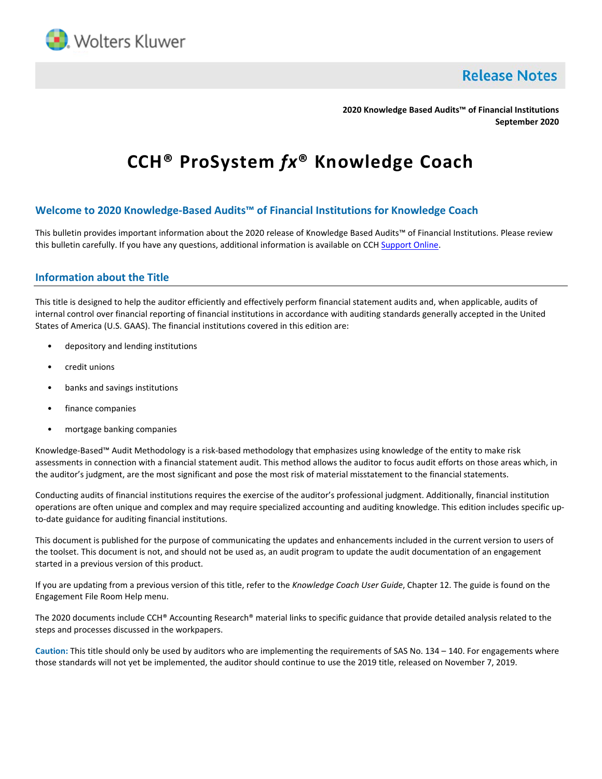

**Release Notes** 

**2020 Knowledge Based Audits™ of Financial Institutions September 2020**

# **CCH® ProSystem** *fx***® Knowledge Coach**

# **Welcome to 2020 Knowledge-Based Audits™ of Financial Institutions for Knowledge Coach**

This bulletin provides important information about the 2020 release of Knowledge Based Audits™ of Financial Institutions. Please review this bulletin carefully. If you have any questions, additional information is available on CCH [Support Online.](http://support.cch.com/productsupport/)

# **Information about the Title**

This title is designed to help the auditor efficiently and effectively perform financial statement audits and, when applicable, audits of internal control over financial reporting of financial institutions in accordance with auditing standards generally accepted in the United States of America (U.S. GAAS). The financial institutions covered in this edition are:

- depository and lending institutions
- credit unions
- banks and savings institutions
- finance companies
- mortgage banking companies

Knowledge-Based™ Audit Methodology is a risk-based methodology that emphasizes using knowledge of the entity to make risk assessments in connection with a financial statement audit. This method allows the auditor to focus audit efforts on those areas which, in the auditor's judgment, are the most significant and pose the most risk of material misstatement to the financial statements.

Conducting audits of financial institutions requires the exercise of the auditor's professional judgment. Additionally, financial institution operations are often unique and complex and may require specialized accounting and auditing knowledge. This edition includes specific upto-date guidance for auditing financial institutions.

This document is published for the purpose of communicating the updates and enhancements included in the current version to users of the toolset. This document is not, and should not be used as, an audit program to update the audit documentation of an engagement started in a previous version of this product.

If you are updating from a previous version of this title, refer to the *Knowledge Coach User Guide*, Chapter 12. The guide is found on the Engagement File Room Help menu.

The 2020 documents include CCH® Accounting Research® material links to specific guidance that provide detailed analysis related to the steps and processes discussed in the workpapers.

**Caution:** This title should only be used by auditors who are implementing the requirements of SAS No. 134 – 140. For engagements where those standards will not yet be implemented, the auditor should continue to use the 2019 title, released on November 7, 2019.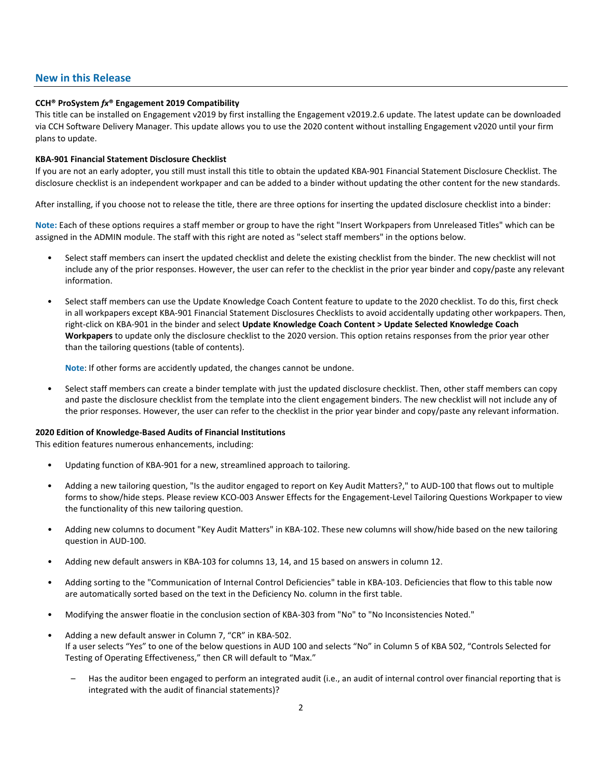## **New in this Release**

#### **CCH® ProSystem** *fx***® Engagement 2019 Compatibility**

This title can be installed on Engagement v2019 by first installing the Engagement v2019.2.6 update. The latest update can be downloaded via CCH Software Delivery Manager. This update allows you to use the 2020 content without installing Engagement v2020 until your firm plans to update.

#### **KBA-901 Financial Statement Disclosure Checklist**

If you are not an early adopter, you still must install this title to obtain the updated KBA-901 Financial Statement Disclosure Checklist. The disclosure checklist is an independent workpaper and can be added to a binder without updating the other content for the new standards.

After installing, if you choose not to release the title, there are three options for inserting the updated disclosure checklist into a binder:

**Note:** Each of these options requires a staff member or group to have the right "Insert Workpapers from Unreleased Titles" which can be assigned in the ADMIN module. The staff with this right are noted as "select staff members" in the options below.

- Select staff members can insert the updated checklist and delete the existing checklist from the binder. The new checklist will not include any of the prior responses. However, the user can refer to the checklist in the prior year binder and copy/paste any relevant information.
- Select staff members can use the Update Knowledge Coach Content feature to update to the 2020 checklist. To do this, first check in all workpapers except KBA-901 Financial Statement Disclosures Checklists to avoid accidentally updating other workpapers. Then, right-click on KBA-901 in the binder and select **Update Knowledge Coach Content > Update Selected Knowledge Coach Workpapers** to update only the disclosure checklist to the 2020 version. This option retains responses from the prior year other than the tailoring questions (table of contents).

**Note**: If other forms are accidently updated, the changes cannot be undone.

• Select staff members can create a binder template with just the updated disclosure checklist. Then, other staff members can copy and paste the disclosure checklist from the template into the client engagement binders. The new checklist will not include any of the prior responses. However, the user can refer to the checklist in the prior year binder and copy/paste any relevant information.

#### **2020 Edition of Knowledge-Based Audits of Financial Institutions**

This edition features numerous enhancements, including:

- Updating function of KBA-901 for a new, streamlined approach to tailoring.
- Adding a new tailoring question, "Is the auditor engaged to report on Key Audit Matters?," to AUD-100 that flows out to multiple forms to show/hide steps. Please review KCO-003 Answer Effects for the Engagement-Level Tailoring Questions Workpaper to view the functionality of this new tailoring question.
- Adding new columns to document "Key Audit Matters" in KBA-102. These new columns will show/hide based on the new tailoring question in AUD-100.
- Adding new default answers in KBA-103 for columns 13, 14, and 15 based on answers in column 12.
- Adding sorting to the "Communication of Internal Control Deficiencies" table in KBA-103. Deficiencies that flow to this table now are automatically sorted based on the text in the Deficiency No. column in the first table.
- Modifying the answer floatie in the conclusion section of KBA-303 from "No" to "No Inconsistencies Noted."
- Adding a new default answer in Column 7, "CR" in KBA-502. If a user selects "Yes" to one of the below questions in AUD 100 and selects "No" in Column 5 of KBA 502, "Controls Selected for Testing of Operating Effectiveness," then CR will default to "Max."
	- Has the auditor been engaged to perform an integrated audit (i.e., an audit of internal control over financial reporting that is integrated with the audit of financial statements)?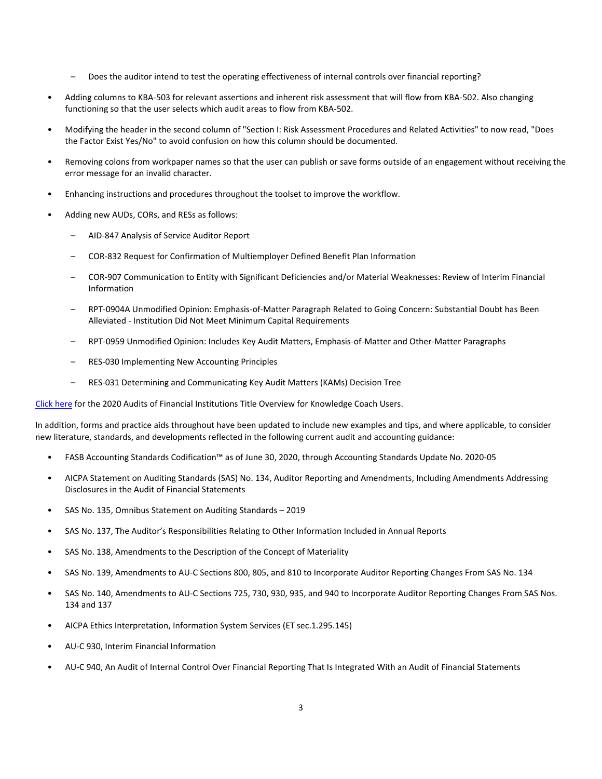- Does the auditor intend to test the operating effectiveness of internal controls over financial reporting?
- Adding columns to KBA-503 for relevant assertions and inherent risk assessment that will flow from KBA-502. Also changing functioning so that the user selects which audit areas to flow from KBA-502.
- Modifying the header in the second column of "Section I: Risk Assessment Procedures and Related Activities" to now read, "Does the Factor Exist Yes/No" to avoid confusion on how this column should be documented.
- Removing colons from workpaper names so that the user can publish or save forms outside of an engagement without receiving the error message for an invalid character.
- Enhancing instructions and procedures throughout the toolset to improve the workflow.
- Adding new AUDs, CORs, and RESs as follows:
	- AID-847 Analysis of Service Auditor Report
	- COR-832 Request for Confirmation of Multiemployer Defined Benefit Plan Information
	- COR-907 Communication to Entity with Significant Deficiencies and/or Material Weaknesses: Review of Interim Financial Information
	- RPT-0904A Unmodified Opinion: Emphasis-of-Matter Paragraph Related to Going Concern: Substantial Doubt has Been Alleviated - Institution Did Not Meet Minimum Capital Requirements
	- RPT-0959 Unmodified Opinion: Includes Key Audit Matters, Emphasis-of-Matter and Other-Matter Paragraphs
	- RES-030 Implementing New Accounting Principles
	- RES-031 Determining and Communicating Key Audit Matters (KAMs) Decision Tree

[Click here](http://support.cch.com/updates/KnowledgeCoach/pdf/guides_tab/2020%20Financial%20Institutions%20Title%20Overview%20for%20Knowledge%20Coach%20Users.pdf) for the 2020 Audits of Financial Institutions Title Overview for Knowledge Coach Users.

In addition, forms and practice aids throughout have been updated to include new examples and tips, and where applicable, to consider new literature, standards, and developments reflected in the following current audit and accounting guidance:

- FASB Accounting Standards Codification™ as of June 30, 2020, through Accounting Standards Update No. 2020-05
- AICPA Statement on Auditing Standards (SAS) No. 134, Auditor Reporting and Amendments, Including Amendments Addressing Disclosures in the Audit of Financial Statements
- SAS No. 135, Omnibus Statement on Auditing Standards 2019
- SAS No. 137, The Auditor's Responsibilities Relating to Other Information Included in Annual Reports
- SAS No. 138, Amendments to the Description of the Concept of Materiality
- SAS No. 139, Amendments to AU-C Sections 800, 805, and 810 to Incorporate Auditor Reporting Changes From SAS No. 134
- SAS No. 140, Amendments to AU-C Sections 725, 730, 930, 935, and 940 to Incorporate Auditor Reporting Changes From SAS Nos. 134 and 137
- AICPA Ethics Interpretation, Information System Services (ET sec.1.295.145)
- AU-C 930, Interim Financial Information
- AU-C 940, An Audit of Internal Control Over Financial Reporting That Is Integrated With an Audit of Financial Statements